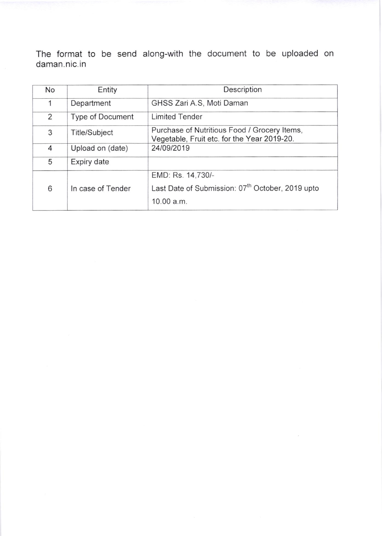The format to be send along-with the document to be uploaded on daman. nic.in

| No | Entity                  | Description                                                                                 |
|----|-------------------------|---------------------------------------------------------------------------------------------|
| 1  | Department              | GHSS Zari A.S, Moti Daman                                                                   |
| 2  | <b>Type of Document</b> | <b>Limited Tender</b>                                                                       |
| 3  | <b>Title/Subject</b>    | Purchase of Nutritious Food / Grocery Items,<br>Vegetable, Fruit etc. for the Year 2019-20. |
| 4  | Upload on (date)        | 24/09/2019                                                                                  |
| 5  | Expiry date             |                                                                                             |
|    |                         | EMD: Rs. 14,730/-                                                                           |
| 6  | In case of Tender       | Last Date of Submission: 07 <sup>th</sup> October, 2019 upto                                |
|    |                         | 10.00 a.m.                                                                                  |

 $\overline{\mathcal{F}}$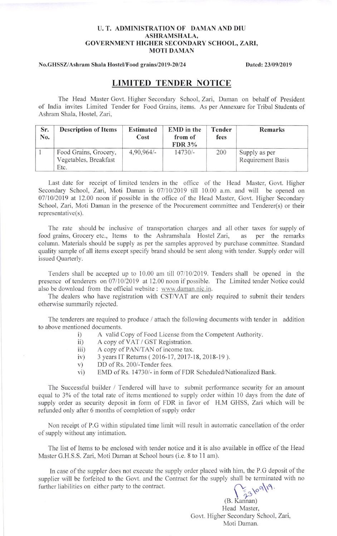### U. T. ADMINISTRATION OF DAMAN AND DIU ASHRAMSHALA, GOVERNMENT HIGHER SECONDARY SCHOOL, ZARI, MOTI DAMAN

### No.GHSSZ/Ashram Shala Hostel/Food grains/2019-20/24 Dated: 23/09/2019

## LIMITED TENDER NOTICE

The Head Master Govt. Higher Secondary School, Zari, Daman on behalf of President of India invites Limited Tender for Food Grains, items. As per Annexure for Tribal Students of Ashram Shala, Hostel. Zari,

| Sr.<br>No. | <b>Description of Items</b>                            | <b>Estimated</b><br>Cost | <b>EMD</b> in the<br>from of<br><b>FDR 3%</b> | Tender<br>fees | Remarks                            |
|------------|--------------------------------------------------------|--------------------------|-----------------------------------------------|----------------|------------------------------------|
|            | Food Grains, Grocery,<br>Vegetables, Breakfast<br>Etc. | $4,90,964/-$             | $14730/-$                                     | 200            | Supply as per<br>Requirement Basis |

Last date for receipt of limited tenders in the office of the Head Master, Govt. Higher Secondary School, Zari, Moti Daman is 07/10/2019 till 10.00 a.m. and will be opened on 07/10/2019 at 12.00 noon if possible in the office of the Head Master, Govt. Higher Secondary School, Zari, Moti Daman in the presence of the Procurement committee and Tenderer(s) or their representative(s).

The rate should be inclusive of transportation charges and all other taxes for supply of food grains, Grocery etc., Items to the Ashramshala Hostel Zari, as per the remarks column. Materials should be supply as per the samples approved by purchase committee. Standard quality sample of all items except specify brand should be sent along with tender. Supply order will issued Quarterly.

Tenders shall be accepted up to  $10.00$  am till  $07/10/2019$ . Tenders shall be opened in the presence of tenderers on 07/10/2019 at 12.00 noon if possible. The Limited tender Notice could also be download from the official website : www.daman.nic.in.

The dealers who have registration with CST/VAT are only required to submit their tenders otherwise summarily rejected.

The tenderers are required to produce / attach the following documents with tender in addition to above mentioned documents.

- i) A valid Copy of Food License from the Competent Authority.<br>
A copy of VAT / GST Registration.
	- A copy of VAT / GST Registration.
- iii) A copy of PAN/TAN of income tax.
- iv) 3 years IT Returns ( 2016-17, 2017-18, 2018-19 ).<br>
v) DD of Rs. 200/-Tender fees.<br>
vi) EMD of Rs. 14730/- in form of FDR Scheduled/Na
- 
- EMD of Rs. 14730/- in form of FDR Scheduled/Nationalized Bank.

The Successful builder / Tendered will have to submit performance security for an amount equal to 3% of the total rate of items mentioned to supply order within 10 days from the date of supply order as security deposit in form of FDR in favor of H.M GHSS, Zari which will be refunded only after 6 months of completion of supply order

Non receipt of P.G within stipulated time limit will result in automatic cancellation of the order of supply without any intimation.

The list of Items to be enclosed with tender notice and it is also available in office of the Head Master G.H.S.S. Zari, Moti Daman at School hours (i.e. 8 to 1l am).

In case of the suppler does not execute the supply order placed with him, the P.G deposit of the supplier will be forfeited to the Govt. and the Contract for the supply shall be terminated with no further liabilities on either party to the contract.  $53109119.$ 

(B. Kannan) Head Master, Covt. Higher Secondary School, Zari, Moti Daman.